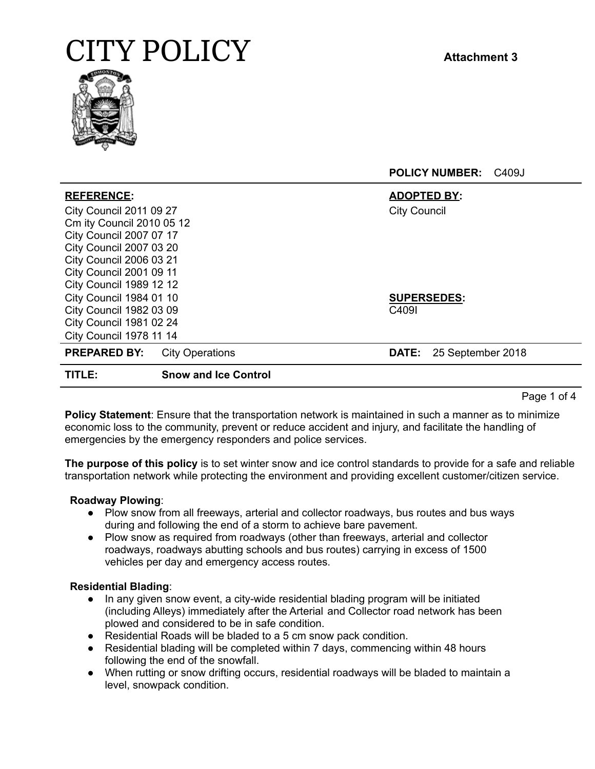

| <b>REFERENCE:</b>              |                             | <b>ADOPTED BY:</b>  |                    |
|--------------------------------|-----------------------------|---------------------|--------------------|
| <b>City Council 2011 09 27</b> |                             | <b>City Council</b> |                    |
| Cm ity Council 2010 05 12      |                             |                     |                    |
| <b>City Council 2007 07 17</b> |                             |                     |                    |
| <b>City Council 2007 03 20</b> |                             |                     |                    |
| <b>City Council 2006 03 21</b> |                             |                     |                    |
| <b>City Council 2001 09 11</b> |                             |                     |                    |
| <b>City Council 1989 12 12</b> |                             |                     |                    |
| <b>City Council 1984 01 10</b> |                             |                     | <b>SUPERSEDES:</b> |
| <b>City Council 1982 03 09</b> |                             | C409I               |                    |
| <b>City Council 1981 02 24</b> |                             |                     |                    |
| <b>City Council 1978 11 14</b> |                             |                     |                    |
| <b>PREPARED BY:</b>            | <b>City Operations</b>      | <b>DATE:</b>        | 25 September 2018  |
| TITLE:                         | <b>Snow and Ice Control</b> |                     |                    |

Page 1 of 4

**Policy Statement**: Ensure that the transportation network is maintained in such a manner as to minimize economic loss to the community, prevent or reduce accident and injury, and facilitate the handling of emergencies by the emergency responders and police services.

**The purpose of this policy** is to set winter snow and ice control standards to provide for a safe and reliable transportation network while protecting the environment and providing excellent customer/citizen service.

### **Roadway Plowing**:

- Plow snow from all freeways, arterial and collector roadways, bus routes and bus ways during and following the end of a storm to achieve bare pavement.
- Plow snow as required from roadways (other than freeways, arterial and collector roadways, roadways abutting schools and bus routes) carrying in excess of 1500 vehicles per day and emergency access routes.

### **Residential Blading**:

- In any given snow event, a city-wide residential blading program will be initiated (including Alleys) immediately after the Arterial and Collector road network has been plowed and considered to be in safe condition.
- Residential Roads will be bladed to a 5 cm snow pack condition.
- Residential blading will be completed within 7 days, commencing within 48 hours following the end of the snowfall.
- When rutting or snow drifting occurs, residential roadways will be bladed to maintain a level, snowpack condition.

**POLICY NUMBER:** C409J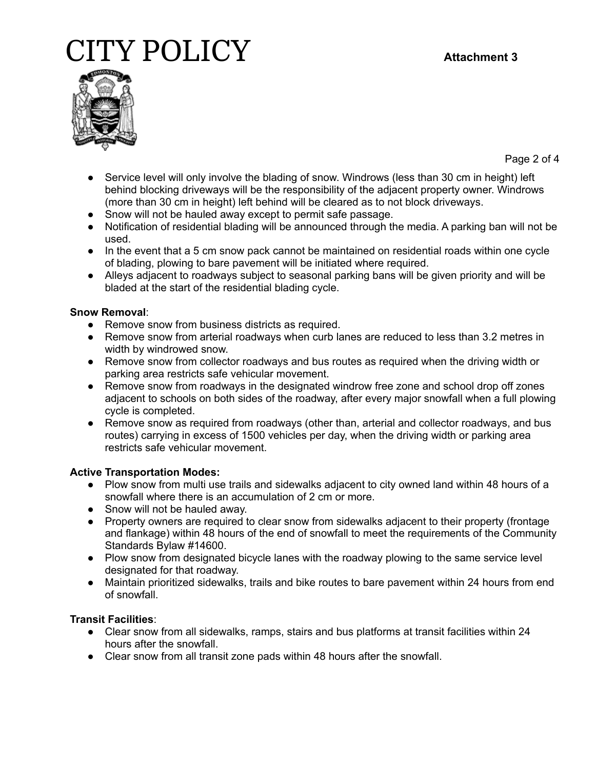

Page 2 of 4

- Service level will only involve the blading of snow. Windrows (less than 30 cm in height) left behind blocking driveways will be the responsibility of the adjacent property owner. Windrows (more than 30 cm in height) left behind will be cleared as to not block driveways.
- Snow will not be hauled away except to permit safe passage.
- Notification of residential blading will be announced through the media. A parking ban will not be used.
- In the event that a 5 cm snow pack cannot be maintained on residential roads within one cycle of blading, plowing to bare pavement will be initiated where required.
- Alleys adjacent to roadways subject to seasonal parking bans will be given priority and will be bladed at the start of the residential blading cycle.

# **Snow Removal**:

- Remove snow from business districts as required.
- Remove snow from arterial roadways when curb lanes are reduced to less than 3.2 metres in width by windrowed snow.
- Remove snow from collector roadways and bus routes as required when the driving width or parking area restricts safe vehicular movement.
- Remove snow from roadways in the designated windrow free zone and school drop off zones adjacent to schools on both sides of the roadway, after every major snowfall when a full plowing cycle is completed.
- Remove snow as required from roadways (other than, arterial and collector roadways, and bus routes) carrying in excess of 1500 vehicles per day, when the driving width or parking area restricts safe vehicular movement.

# **Active Transportation Modes:**

- Plow snow from multi use trails and sidewalks adjacent to city owned land within 48 hours of a snowfall where there is an accumulation of 2 cm or more.
- Snow will not be hauled away.
- Property owners are required to clear snow from sidewalks adjacent to their property (frontage and flankage) within 48 hours of the end of snowfall to meet the requirements of the Community Standards Bylaw #14600.
- Plow snow from designated bicycle lanes with the roadway plowing to the same service level designated for that roadway.
- Maintain prioritized sidewalks, trails and bike routes to bare pavement within 24 hours from end of snowfall.

# **Transit Facilities**:

- Clear snow from all sidewalks, ramps, stairs and bus platforms at transit facilities within 24 hours after the snowfall.
- Clear snow from all transit zone pads within 48 hours after the snowfall.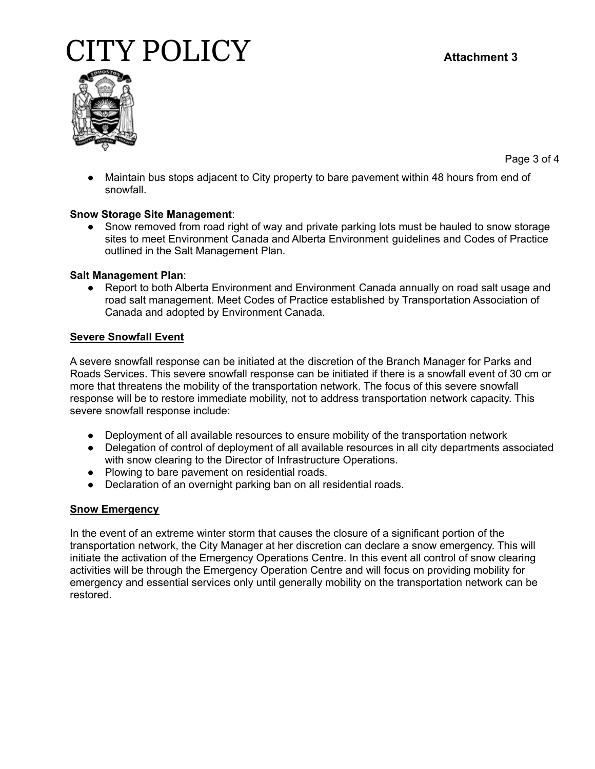

Page 3 of 4

• Maintain bus stops adjacent to City property to bare pavement within 48 hours from end of snowfall.

### **Snow Storage Site Management**:

• Snow removed from road right of way and private parking lots must be hauled to snow storage sites to meet Environment Canada and Alberta Environment guidelines and Codes of Practice outlined in the Salt Management Plan.

### **Salt Management Plan**:

● Report to both Alberta Environment and Environment Canada annually on road salt usage and road salt management. Meet Codes of Practice established by Transportation Association of Canada and adopted by Environment Canada.

### **Severe Snowfall Event**

A severe snowfall response can be initiated at the discretion of the Branch Manager for Parks and Roads Services. This severe snowfall response can be initiated if there is a snowfall event of 30 cm or more that threatens the mobility of the transportation network. The focus of this severe snowfall response will be to restore immediate mobility, not to address transportation network capacity. This severe snowfall response include:

- Deployment of all available resources to ensure mobility of the transportation network
- Delegation of control of deployment of all available resources in all city departments associated with snow clearing to the Director of Infrastructure Operations.
- Plowing to bare pavement on residential roads.
- Declaration of an overnight parking ban on all residential roads.

# **Snow Emergency**

In the event of an extreme winter storm that causes the closure of a significant portion of the transportation network, the City Manager at her discretion can declare a snow emergency. This will initiate the activation of the Emergency Operations Centre. In this event all control of snow clearing activities will be through the Emergency Operation Centre and will focus on providing mobility for emergency and essential services only until generally mobility on the transportation network can be restored.